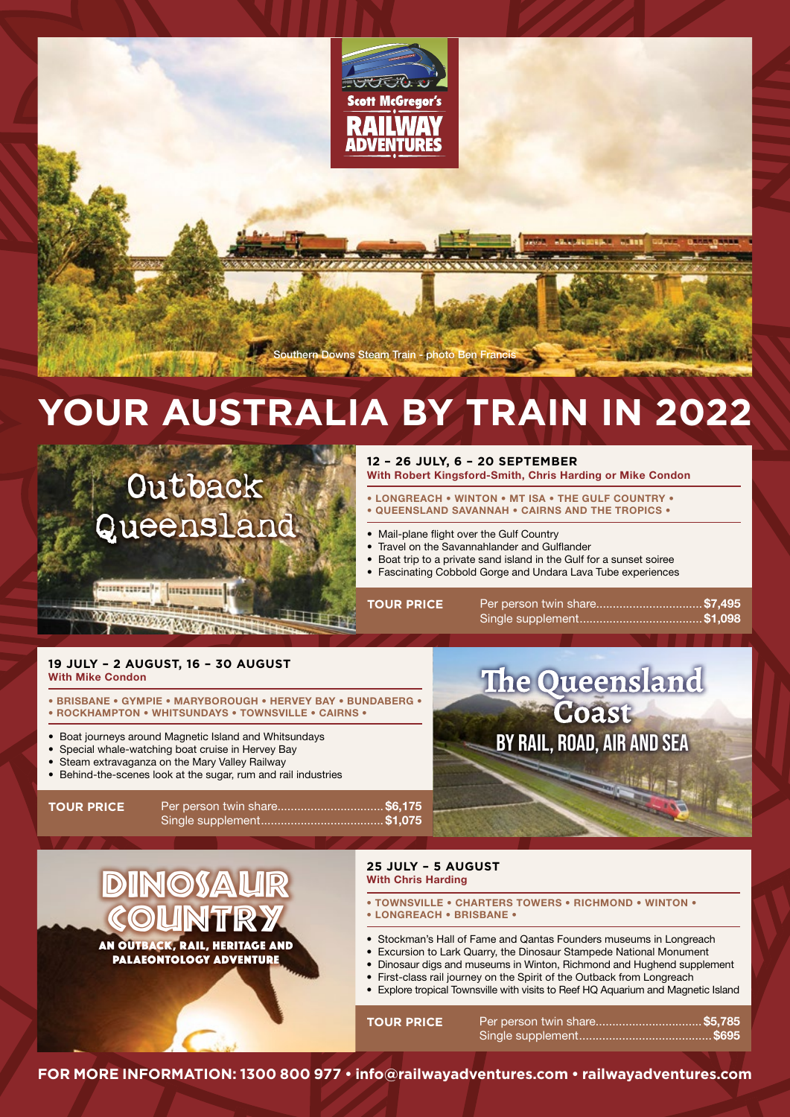

n Downs Steam Train - photo B

# **YOUR AUSTRALIA BY TRAIN IN 2022**

**Outback** Queensland

## **12 – 26 JULY, 6 – 20 SEPTEMBER**

**With Robert Kingsford-Smith, Chris Harding or Mike Condon** 

- **LONGREACH WINTON MT ISA THE GULF COUNTRY • QUEENSLAND SAVANNAH • CAIRNS AND THE TROPICS •**
- Mail-plane flight over the Gulf Country
- Travel on the Savannahlander and Gulflander
- Boat trip to a private sand island in the Gulf for a sunset soiree
- Fascinating Cobbold Gorge and Undara Lava Tube experiences

Per person twin share.................................. \$7,495 Single supplement **\$1,098**

BY RAIL, ROAD, AIR AND SEA

Coast

The Queensland

**<u> Bangarra'r [marmini]</u> CONTRACTOR** 

<u> Dinaman ang pag</u>

**TOUR PRICE**

## **19 JULY – 2 AUGUST, 16 – 30 AUGUST With Mike Condon**

- **BRISBANE GYMPIE MARYBOROUGH HERVEY BAY BUNDABERG • • ROCKHAMPTON • WHITSUNDAYS • TOWNSVILLE • CAIRNS •**
- Boat journeys around Magnetic Island and Whitsundays
- Special whale-watching boat cruise in Hervey Bay
- Steam extravaganza on the Mary Valley Railway
- Behind-the-scenes look at the sugar, rum and rail industries

**TOUR PRICE**

Per person twin share.................................\$6,175 Single supplement **\$1,075**

DINOSAUR **COUNTRY** AN OUTBACK, RAIL, HERITAGE AND PALAEONTOLOGY ADVENTURE

## **25 JULY – 5 AUGUST With Chris Harding**

- **TOWNSVILLE CHARTERS TOWERS RICHMOND WINTON • LONGREACH • BRISBANE •**
- Stockman's Hall of Fame and Qantas Founders museums in Longreach
- Excursion to Lark Quarry, the Dinosaur Stampede National Monument
- Dinosaur digs and museums in Winton, Richmond and Hughend supplement
- First-class rail journey on the Spirit of the Outback from Longreach • Explore tropical Townsville with visits to Reef HQ Aquarium and Magnetic Island

| <b>TOUR PRICE</b> |  |
|-------------------|--|
|                   |  |

**FOR MORE INFORMATION: 1300 800 977 • info@railwayadventures.com • railwayadventures.com**